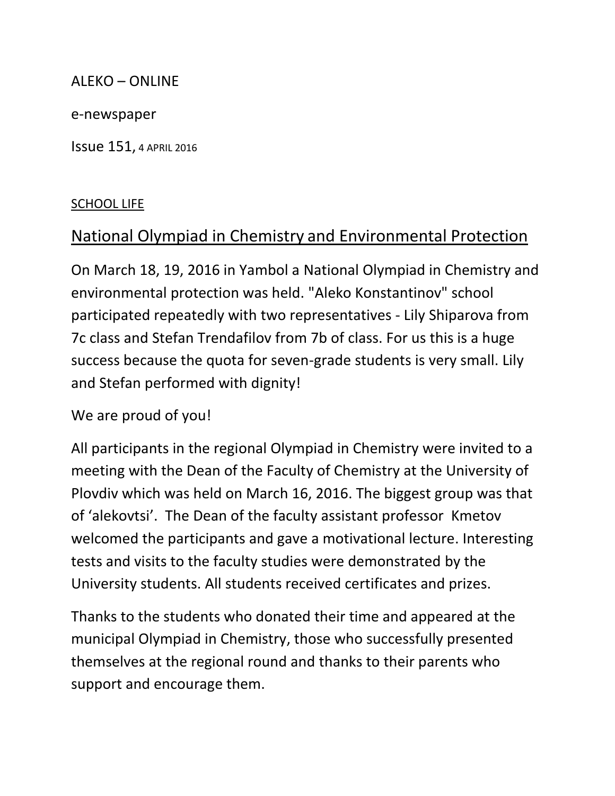#### ALEKO – ONLINE

e-newspaper

Issue 151, 4 APRIL 2016

#### SCHOOL LIFE

## National Olympiad in Chemistry and Environmental Protection

On March 18, 19, 2016 in Yambol a National Olympiad in Chemistry and environmental protection was held. "Aleko Konstantinov" school participated repeatedly with two representatives - Lily Shiparova from 7c class and Stefan Trendafilov from 7b of class. For us this is a huge success because the quota for seven-grade students is very small. Lily and Stefan performed with dignity!

We are proud of you!

All participants in the regional Olympiad in Chemistry were invited to a meeting with the Dean of the Faculty of Chemistry at the University of Plovdiv which was held on March 16, 2016. The biggest group was that of 'alekovtsi'. The Dean of the faculty assistant professor Kmetov welcomed the participants and gave a motivational lecture. Interesting tests and visits to the faculty studies were demonstrated by the University students. All students received certificates and prizes.

Thanks to the students who donated their time and appeared at the municipal Olympiad in Chemistry, those who successfully presented themselves at the regional round and thanks to their parents who support and encourage them.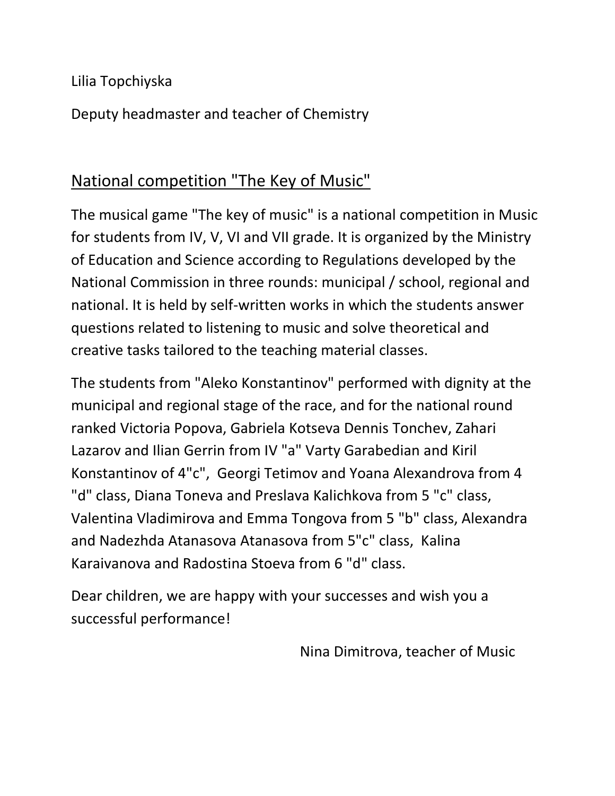Lilia Topchiyska

Deputy headmaster and teacher of Chemistry

## National competition "The Key of Music"

The musical game "The key of music" is a national competition in Music for students from IV, V, VI and VII grade. It is organized by the Ministry of Education and Science according to Regulations developed by the National Commission in three rounds: municipal / school, regional and national. It is held by self-written works in which the students answer questions related to listening to music and solve theoretical and creative tasks tailored to the teaching material classes.

The students from "Aleko Konstantinov" performed with dignity at the municipal and regional stage of the race, and for the national round ranked Victoria Popova, Gabriela Kotseva Dennis Tonchev, Zahari Lazarov and Ilian Gerrin from IV "a" Varty Garabedian and Kiril Konstantinov of 4"c", Georgi Tetimov and Yoana Alexandrova from 4 "d" class, Diana Toneva and Preslava Kalichkova from 5 "c" class, Valentina Vladimirova and Emma Tongova from 5 "b" class, Alexandra and Nadezhda Atanasova Atanasova from 5"c" class, Kalina Karaivanova and Radostina Stoeva from 6 "d" class.

Dear children, we are happy with your successes and wish you a successful performance!

Nina Dimitrova, teacher of Music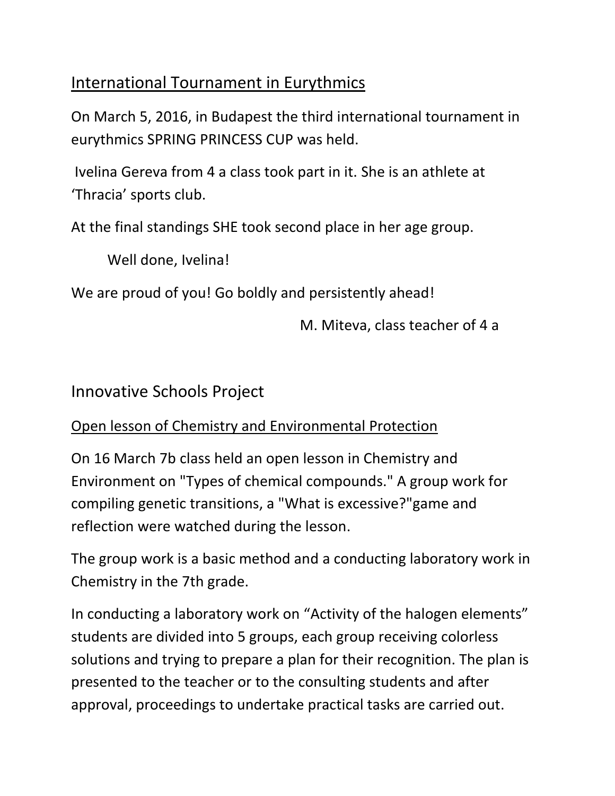## International Tournament in Eurythmics

On March 5, 2016, in Budapest the third international tournament in eurythmics SPRING PRINCESS CUP was held.

Ivelina Gereva from 4 a class took part in it. She is an athlete at 'Thracia' sports club.

At the final standings SHE took second place in her age group.

Well done, Ivelina!

We are proud of you! Go boldly and persistently ahead!

M. Miteva, class teacher of 4 a

Innovative Schools Project

## Open lesson of Chemistry and Environmental Protection

On 16 March 7b class held an open lesson in Chemistry and Environment on "Types of chemical compounds." A group work for compiling genetic transitions, a "What is excessive?"game and reflection were watched during the lesson.

The group work is a basic method and a conducting laboratory work in Chemistry in the 7th grade.

In conducting a laboratory work on "Activity of the halogen elements" students are divided into 5 groups, each group receiving colorless solutions and trying to prepare a plan for their recognition. The plan is presented to the teacher or to the consulting students and after approval, proceedings to undertake practical tasks are carried out.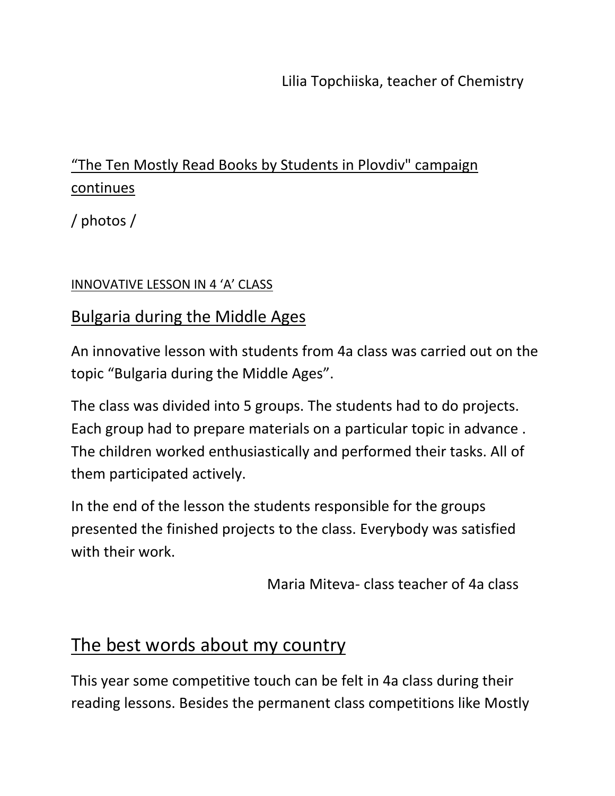Lilia Topchiiska, teacher of Chemistry

# "The Ten Mostly Read Books by Students in Plovdiv" campaign continues

/ photos /

#### INNOVATIVE LESSON IN 4 'A' CLASS

### Bulgaria during the Middle Ages

An innovative lesson with students from 4a class was carried out on the topic "Bulgaria during the Middle Ages".

The class was divided into 5 groups. The students had to do projects. Each group had to prepare materials on a particular topic in advance . The children worked enthusiastically and performed their tasks. All of them participated actively.

In the end of the lesson the students responsible for the groups presented the finished projects to the class. Everybody was satisfied with their work.

Maria Miteva- class teacher of 4a class

# The best words about my country

This year some competitive touch can be felt in 4a class during their reading lessons. Besides the permanent class competitions like Mostly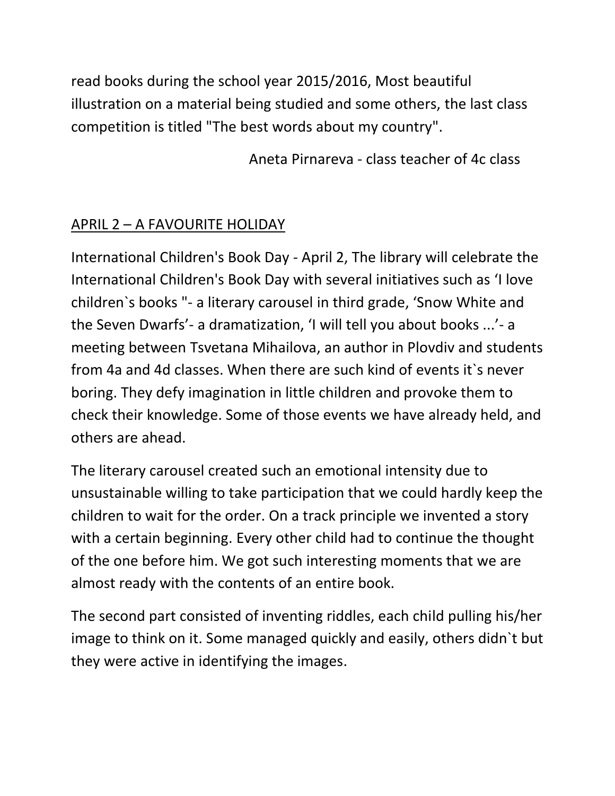read books during the school year 2015/2016, Most beautiful illustration on a material being studied and some others, the last class competition is titled "The best words about my country".

Aneta Pirnareva - class teacher of 4c class

### APRIL 2 – A FAVOURITE HOLIDAY

International Children's Book Day - April 2, The library will celebrate the International Children's Book Day with several initiatives such as 'I love children`s books "- a literary carousel in third grade, 'Snow White and the Seven Dwarfs'- a dramatization, 'I will tell you about books ...'- a meeting between Tsvetana Mihailova, an author in Plovdiv and students from 4a and 4d classes. When there are such kind of events it`s never boring. They defy imagination in little children and provoke them to check their knowledge. Some of those events we have already held, and others are ahead.

The literary carousel created such an emotional intensity due to unsustainable willing to take participation that we could hardly keep the children to wait for the order. On a track principle we invented a story with a certain beginning. Every other child had to continue the thought of the one before him. We got such interesting moments that we are almost ready with the contents of an entire book.

The second part consisted of inventing riddles, each child pulling his/her image to think on it. Some managed quickly and easily, others didn`t but they were active in identifying the images.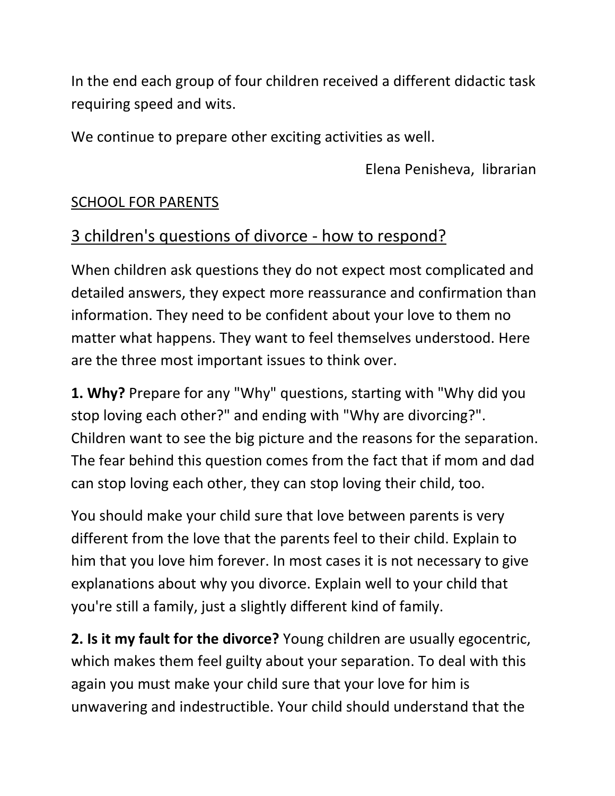In the end each group of four children received a different didactic task requiring speed and wits.

We continue to prepare other exciting activities as well.

Elena Penisheva, librarian

### SCHOOL FOR PARENTS

## 3 children's questions of divorce - how to respond?

When children ask questions they do not expect most complicated and detailed answers, they expect more reassurance and confirmation than information. They need to be confident about your love to them no matter what happens. They want to feel themselves understood. Here are the three most important issues to think over.

**1. Why?** Prepare for any "Why" questions, starting with "Why did you stop loving each other?" and ending with "Why are divorcing?". Children want to see the big picture and the reasons for the separation. The fear behind this question comes from the fact that if mom and dad can stop loving each other, they can stop loving their child, too.

You should make your child sure that love between parents is very different from the love that the parents feel to their child. Explain to him that you love him forever. In most cases it is not necessary to give explanations about why you divorce. Explain well to your child that you're still a family, just a slightly different kind of family.

**2. Is it my fault for the divorce?** Young children are usually egocentric, which makes them feel guilty about your separation. To deal with this again you must make your child sure that your love for him is unwavering and indestructible. Your child should understand that the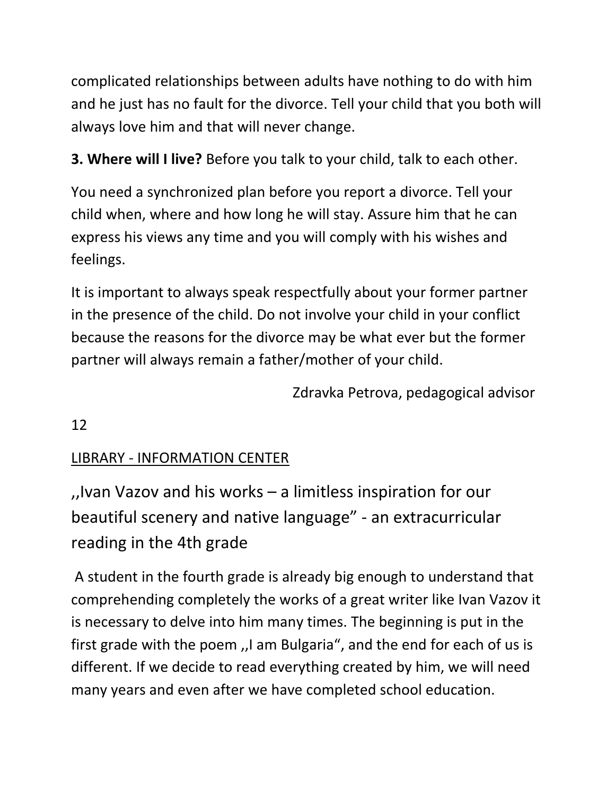complicated relationships between adults have nothing to do with him and he just has no fault for the divorce. Tell your child that you both will always love him and that will never change.

**3. Where will I live?** Before you talk to your child, talk to each other.

You need a synchronized plan before you report a divorce. Tell your child when, where and how long he will stay. Assure him that he can express his views any time and you will comply with his wishes and feelings.

It is important to always speak respectfully about your former partner in the presence of the child. Do not involve your child in your conflict because the reasons for the divorce may be what ever but the former partner will always remain a father/mother of your child.

Zdravka Petrova, pedagogical advisor

12

## LIBRARY - INFORMATION CENTER

,,Ivan Vazov and his works – a limitless inspiration for our beautiful scenery and native language" - an extracurricular reading in the 4th grade

A student in the fourth grade is already big enough to understand that comprehending completely the works of a great writer like Ivan Vazov it is necessary to delve into him many times. The beginning is put in the first grade with the poem ,,I am Bulgaria", and the end for each of us is different. If we decide to read everything created by him, we will need many years and even after we have completed school education.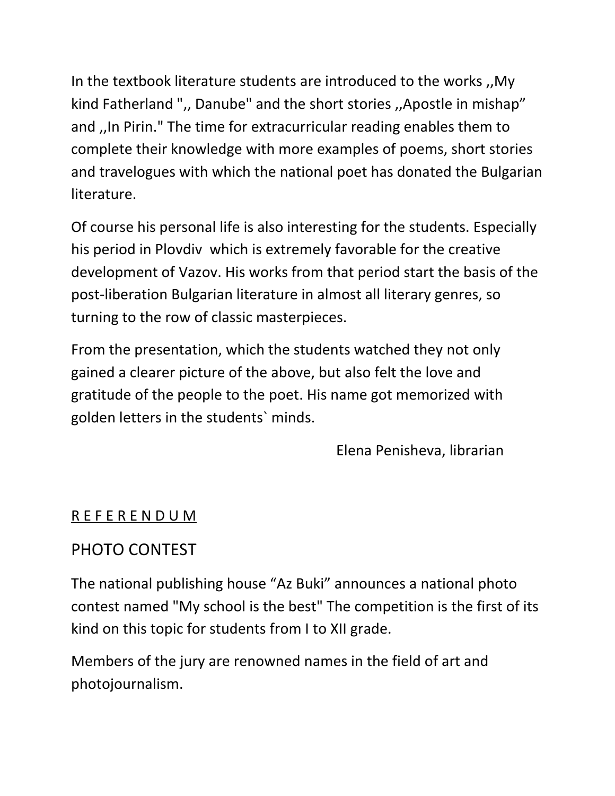In the textbook literature students are introduced to the works ,,My kind Fatherland ",, Danube" and the short stories ,,Apostle in mishap" and ,,In Pirin." The time for extracurricular reading enables them to complete their knowledge with more examples of poems, short stories and travelogues with which the national poet has donated the Bulgarian literature.

Of course his personal life is also interesting for the students. Especially his period in Plovdiv which is extremely favorable for the creative development of Vazov. His works from that period start the basis of the post-liberation Bulgarian literature in almost all literary genres, so turning to the row of classic masterpieces.

From the presentation, which the students watched they not only gained a clearer picture of the above, but also felt the love and gratitude of the people to the poet. His name got memorized with golden letters in the students` minds.

Elena Penisheva, librarian

### R E F E R E N D U M

## PHOTO CONTEST

The national publishing house "Az Buki" announces a national photo contest named "My school is the best" The competition is the first of its kind on this topic for students from I to XII grade.

Members of the jury are renowned names in the field of art and photojournalism.